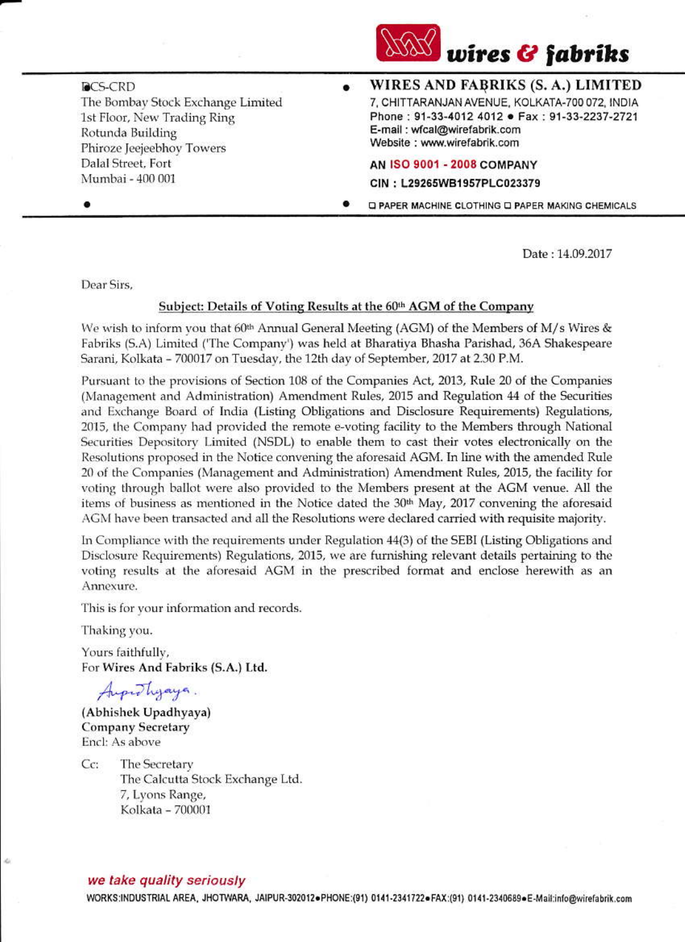

**DCS-CRD** The Bombay Stock Exchange Limited 1st Floor, New Trading Ring Rotunda Building Phiroze Jeejeebhov Towers Dalal Street, Fort Mumbai - 400 001

WIRES AND FABRIKS (S. A.) LIMITED  $\bullet$ 7, CHITTARANJAN AVENUE, KOLKATA-700 072, INDIA Phone: 91-33-4012 4012 • Fax: 91-33-2237-2721 E-mail: wfcal@wirefabrik.com Website: www.wirefabrik.com

AN ISO 9001 - 2008 COMPANY

CIN: L29265WB1957PLC023379

D PAPER MACHINE CLOTHING D PAPER MAKING CHEMICALS

Date: 14.09.2017

Dear Sirs.

## Subject: Details of Voting Results at the 60th AGM of the Company

We wish to inform you that 60<sup>th</sup> Annual General Meeting (AGM) of the Members of M/s Wires & Fabriks (S.A) Limited ('The Company') was held at Bharatiya Bhasha Parishad, 36A Shakespeare Sarani, Kolkata - 700017 on Tuesday, the 12th day of September, 2017 at 2.30 P.M.

Pursuant to the provisions of Section 108 of the Companies Act, 2013, Rule 20 of the Companies (Management and Administration) Amendment Rules, 2015 and Regulation 44 of the Securities and Exchange Board of India (Listing Obligations and Disclosure Requirements) Regulations, 2015, the Company had provided the remote e-voting facility to the Members through National Securities Depository Limited (NSDL) to enable them to cast their votes electronically on the Resolutions proposed in the Notice convening the aforesaid AGM. In line with the amended Rule 20 of the Companies (Management and Administration) Amendment Rules, 2015, the facility for voting through ballot were also provided to the Members present at the AGM venue. All the items of business as mentioned in the Notice dated the 30<sup>th</sup> May, 2017 convening the aforesaid AGM have been transacted and all the Resolutions were declared carried with requisite majority.

In Compliance with the requirements under Regulation 44(3) of the SEBI (Listing Obligations and Disclosure Requirements) Regulations, 2015, we are furnishing relevant details pertaining to the voting results at the aforesaid AGM in the prescribed format and enclose herewith as an Annexure.

This is for your information and records.

Thaking you.

Yours faithfully, For Wires And Fabriks (S.A.) Ltd.

Augustyaya.

(Abhishek Upadhyaya) Company Secretary Encl: As above

 $Cc$ The Secretary The Calcutta Stock Exchange Ltd. 7, Lyons Range, Kolkata - 700001

## we take quality seriously

WORKS:INDUSTRIAL AREA, JHOTWARA, JAIPUR-302012·PHONE:(91) 0141-2341722·FAX:(91) 0141-2340689·E-Mail:info@wirefabrik.com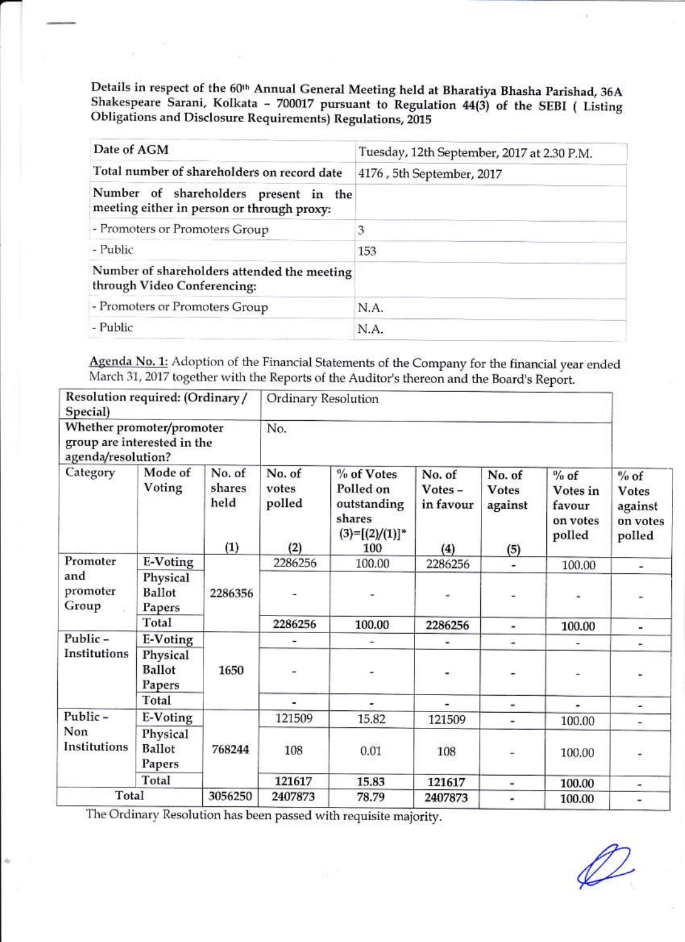Details in respect of the 60th Annual General Meeting held at Bharatiya Bhasha Parishad, 36A Shakespeare Sarani, Kolkata - 700017 pursuant to Regulation 44(3) of the SEBI ( Listing Obligations and Disclosure Requirements) Regulations, 2015

| Date of AGM                                                                         | Tuesday, 12th September, 2017 at 2.30 P.M. |
|-------------------------------------------------------------------------------------|--------------------------------------------|
| Total number of shareholders on record date                                         | 4176, 5th September, 2017                  |
| Number of shareholders present in the<br>meeting either in person or through proxy: |                                            |
| - Promoters or Promoters Group                                                      | 3                                          |
| - Public                                                                            | 153                                        |
| Number of shareholders attended the meeting<br>through Video Conferencing:          |                                            |
| - Promoters or Promoters Group                                                      | N.A.                                       |
| - Public                                                                            | N.A.                                       |

Agenda No. 1: Adoption of the Financial Statements of the Company for the financial year ended March 31, 2017 together with the Reports of the Auditor's thereon and the Board's Report.

| Resolution required: (Ordinary /<br>Special)<br>Whether promoter/promoter<br>group are interested in the<br>agenda/resolution? |                                     | Ordinary Resolution             |                                  |                                                                              |                                      |                                   |                                                    |                                                         |
|--------------------------------------------------------------------------------------------------------------------------------|-------------------------------------|---------------------------------|----------------------------------|------------------------------------------------------------------------------|--------------------------------------|-----------------------------------|----------------------------------------------------|---------------------------------------------------------|
|                                                                                                                                |                                     | No.                             |                                  |                                                                              |                                      |                                   |                                                    |                                                         |
| Category                                                                                                                       | Mode of<br>Voting                   | No. of<br>shares<br>held<br>(1) | No. of<br>votes<br>polled<br>(2) | % of Votes<br>Polled on<br>outstanding<br>shares<br>$(3)=[(2)/(1)]^*$<br>100 | No. of<br>Votes-<br>in favour<br>(4) | No. of<br>Votes<br>against<br>(5) | $%$ of<br>Votes in<br>favour<br>on votes<br>polled | $%$ of<br><b>Votes</b><br>against<br>on votes<br>polled |
| Promoter                                                                                                                       | E-Voting                            | 2286356                         | 2286256                          | 100.00                                                                       | 2286256                              | ٠                                 | 100.00                                             | ٠                                                       |
| and<br>promoter<br>Group                                                                                                       | Physical<br><b>Ballot</b><br>Papers |                                 | Ö.                               |                                                                              | ۰                                    | $\overline{\phantom{a}}$          |                                                    |                                                         |
|                                                                                                                                | Total                               |                                 | 2286256                          | 100.00                                                                       | 2286256                              |                                   | 100.00                                             | w.                                                      |
| Public-<br>Institutions                                                                                                        | E-Voting                            | 1650                            |                                  |                                                                              | ×.                                   | s                                 |                                                    |                                                         |
|                                                                                                                                | Physical<br><b>Ballot</b><br>Papers |                                 |                                  |                                                                              |                                      | -                                 |                                                    |                                                         |
|                                                                                                                                | Total                               |                                 | ٠                                |                                                                              | ۰                                    | ÷                                 |                                                    | ÷.                                                      |
| Public-<br>Non<br>Institutions                                                                                                 | E-Voting                            | 768244                          | 121509                           | 15.82                                                                        | 121509                               | ù.                                | 100.00                                             | $\overline{\phantom{a}}$                                |
|                                                                                                                                | Physical<br><b>Ballot</b><br>Papers |                                 | 108                              | 0.01                                                                         | 108                                  |                                   | 100.00                                             |                                                         |
|                                                                                                                                | Total                               |                                 | 121617                           | 15.83                                                                        | 121617                               | z                                 | 100.00                                             | ÷.                                                      |
| Total                                                                                                                          |                                     | 3056250                         | 2407873                          | 78.79                                                                        | 2407873                              | Ξ                                 | 100.00                                             | ٠,                                                      |

The Ordinary Resolution has been passed with requisite majority.

 $\mathcal{D}% _{M_{1},M_{2}}^{\alpha,\beta}(\varepsilon)$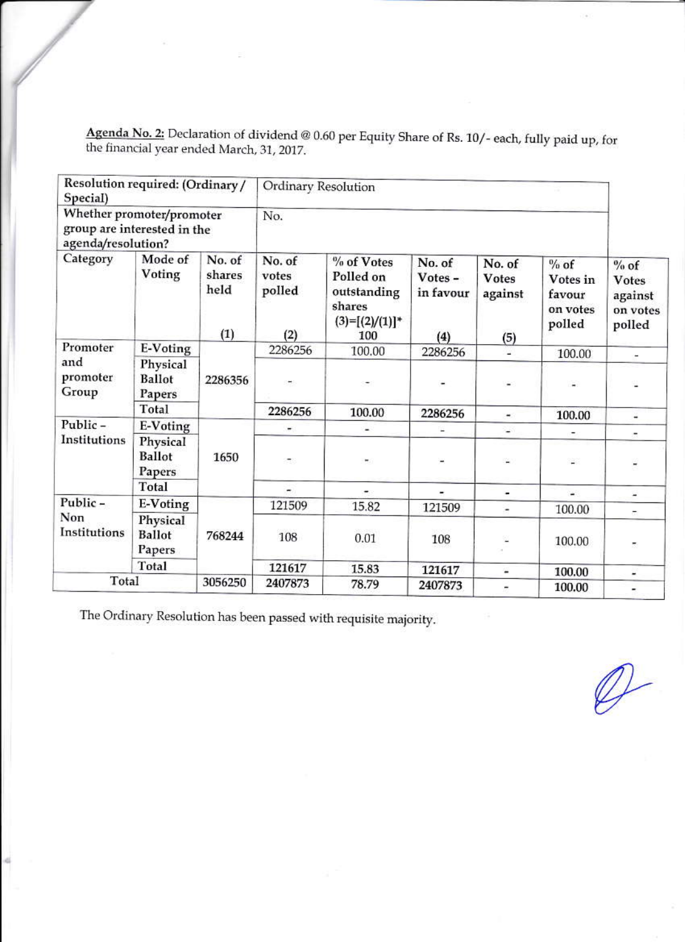Agenda No. 2: Declaration of dividend @ 0.60 per Equity Share of Rs. 10/- each, fully paid up, for the financial year ended March, 31, 2017.

| Resolution required: (Ordinary/<br>Special)<br>Whether promoter/promoter<br>group are interested in the<br>agenda/resolution? |                                     | Ordinary Resolution             |                                  |                                                                              |                                       |                                          |                                                    |                                                         |
|-------------------------------------------------------------------------------------------------------------------------------|-------------------------------------|---------------------------------|----------------------------------|------------------------------------------------------------------------------|---------------------------------------|------------------------------------------|----------------------------------------------------|---------------------------------------------------------|
|                                                                                                                               |                                     | No.                             |                                  |                                                                              |                                       |                                          |                                                    |                                                         |
| Category                                                                                                                      | Mode of<br>Voting                   | No. of<br>shares<br>held<br>(1) | No. of<br>votes<br>polled<br>(2) | % of Votes<br>Polled on<br>outstanding<br>shares<br>$(3)=[(2)/(1)]^*$<br>100 | No. of<br>Votes -<br>in favour<br>(4) | No. of<br><b>Votes</b><br>against<br>(5) | $%$ of<br>Votes in<br>favour<br>on votes<br>polled | $%$ of<br><b>Votes</b><br>against<br>on votes<br>polled |
| Promoter                                                                                                                      | E-Voting                            | 2286356                         | 2286256                          | 100.00                                                                       | 2286256                               | u.                                       | 100.00                                             | ÷                                                       |
| and<br>promoter<br>Group                                                                                                      | Physical<br><b>Ballot</b><br>Papers |                                 | $\overline{\phantom{a}}$         |                                                                              |                                       |                                          |                                                    |                                                         |
|                                                                                                                               | Total                               |                                 | 2286256                          | 100.00                                                                       | 2286256                               | ×.                                       | 100.00                                             | ٠                                                       |
| Public-<br>Institutions                                                                                                       | E-Voting                            | 1650                            | ۰                                |                                                                              |                                       | ٠                                        |                                                    |                                                         |
|                                                                                                                               | Physical<br><b>Ballot</b><br>Papers |                                 | ÷.                               | ۳.                                                                           |                                       |                                          | ۵                                                  | $\overline{\phantom{a}}$                                |
|                                                                                                                               | Total                               |                                 | $\overline{\phantom{a}}$         | $\blacksquare$                                                               | ×,                                    | ۰                                        | S.                                                 | $\overline{\phantom{a}}$                                |
| Public-<br>Non<br>Institutions                                                                                                | E-Voting                            |                                 | 121509                           | 15.82                                                                        | 121509                                | ä,                                       | 100.00                                             | ÷                                                       |
|                                                                                                                               | Physical<br><b>Ballot</b><br>Papers | 768244                          | 108                              | 0.01                                                                         | 108                                   |                                          | 100.00                                             | ž,                                                      |
|                                                                                                                               | Total                               |                                 | 121617                           | 15.83                                                                        | 121617                                | a,                                       | 100.00                                             | Ξ                                                       |
| Total                                                                                                                         |                                     | 3056250                         | 2407873                          | 78.79                                                                        | 2407873                               | $\overline{a}$                           | 100.00                                             | ٠                                                       |

The Ordinary Resolution has been passed with requisite majority.

 $\mathcal{D}$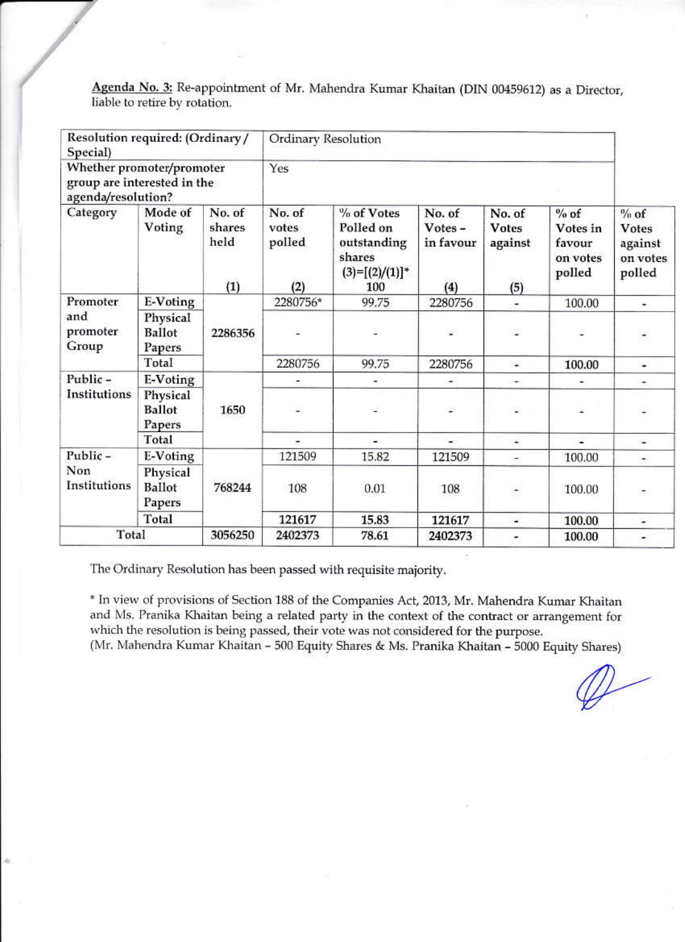Agenda No. 3: Re-appointment of Mr. Mahendra Kumar Khaitan (DIN 00459612) as a Director, liable to retire by rotation.

| Resolution required: (Ordinary/<br>Special)<br>Whether promoter/promoter<br>group are interested in the<br>agenda/resolution? |                                     | Ordinary Resolution             |                                  |                                                                              |                                      |                                          |                                                    |                                                  |
|-------------------------------------------------------------------------------------------------------------------------------|-------------------------------------|---------------------------------|----------------------------------|------------------------------------------------------------------------------|--------------------------------------|------------------------------------------|----------------------------------------------------|--------------------------------------------------|
|                                                                                                                               |                                     | Yes                             |                                  |                                                                              |                                      |                                          |                                                    |                                                  |
| Category                                                                                                                      | Mode of<br>Voting                   | No. of<br>shares<br>held<br>(1) | No. of<br>votes<br>polled<br>(2) | % of Votes<br>Polled on<br>outstanding<br>shares<br>$(3)=[(2)/(1)]^*$<br>100 | No. of<br>Votes-<br>in favour<br>(4) | No. of<br><b>Votes</b><br>against<br>(5) | $%$ of<br>Votes in<br>favour<br>on votes<br>polled | $%$ of<br>Votes<br>against<br>on votes<br>polled |
| Promoter                                                                                                                      | E-Voting                            | 2286356                         | 2280756*                         | 99.75                                                                        | 2280756                              | $\blacksquare$                           | 100.00                                             | ۰                                                |
| and<br>promoter<br>Group                                                                                                      | Physical<br>Ballot<br>Papers        |                                 |                                  | z,                                                                           |                                      |                                          | z                                                  |                                                  |
|                                                                                                                               | Total                               |                                 | 2280756                          | 99.75                                                                        | 2280756                              | ₩                                        | 100.00                                             | ÷.                                               |
| Public-                                                                                                                       | E-Voting                            | 1650                            |                                  | ۰                                                                            |                                      |                                          |                                                    | ۰                                                |
| Institutions                                                                                                                  | Physical<br><b>Ballot</b><br>Papers |                                 |                                  |                                                                              |                                      | υ                                        |                                                    |                                                  |
|                                                                                                                               | Total                               |                                 | ۰                                | ÷.                                                                           | $\blacksquare$                       | $\overline{\phantom{a}}$                 | ×                                                  | £.                                               |
| Public-<br>Non<br>Institutions                                                                                                | E-Voting                            | 768244                          | 121509                           | 15.82                                                                        | 121509                               | ÷.                                       | 100.00                                             | $\bullet$                                        |
|                                                                                                                               | Physical<br>Ballot<br>Papers        |                                 | 108                              | 0.01                                                                         | 108                                  | -                                        | 100.00                                             |                                                  |
|                                                                                                                               | Total                               |                                 | 121617                           | 15.83                                                                        | 121617                               | a,                                       | 100.00                                             | $\overline{\phantom{a}}$                         |
| Total                                                                                                                         |                                     | 3056250                         | 2402373                          | 78.61                                                                        | 2402373                              | ۰                                        | 100.00                                             |                                                  |

The Ordinary Resolution has been passed with requisite majority.

\* In view of provisions of Section 188 of the Companies Act, 2013, Mr. Mahendra Kumar Khaitan and Ms. Pranika Khaitan being a related party in the context of the contract or arrangement for which the resolution is being passed, their vote was not considered for the purpose. (Mr. Mahendra Kumar Khaitan - 500 Equity Shares & Ms. Pranika Khaitan - 5000 Equity Shares)